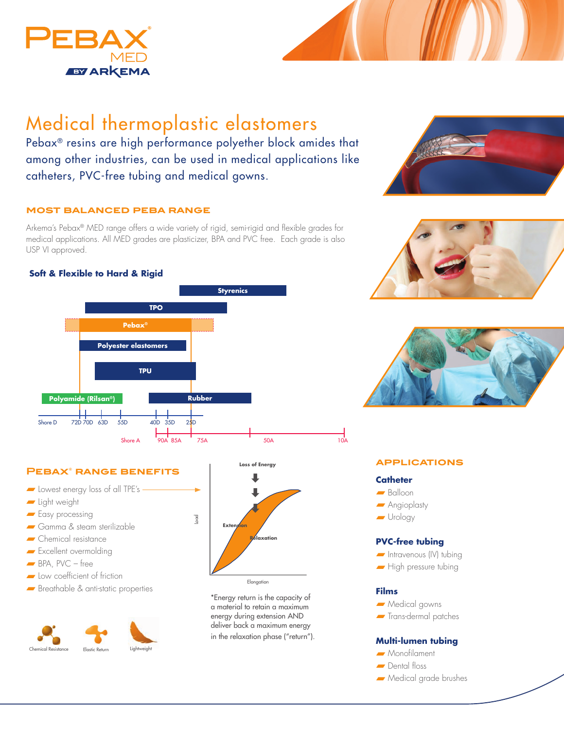

# Medical thermoplastic elastomers

Pebax® resins are high performance polyether block amides that among other industries, can be used in medical applications like catheters, PVC-free tubing and medical gowns.

## **most balanced peba range**

Arkema's Pebax® MED range offers a wide variety of rigid, semi-rigid and flexible grades for medical applications. All MED grades are plasticizer, BPA and PVC free. Each grade is also USP VI approved.

# **Soft & Flexible to Hard & Rigid**



# **Pebax® range benefits**

- Lowest energy loss of all TPE's
- Light weight
- Easy processing
- Gamma & steam sterilizable
- Chemical resistance
- Excellent overmolding
- $\blacksquare$  BPA, PVC free
- Low coefficient of friction
- Breathable & anti-static properties





\*Energy return is the capacity of a material to retain a maximum energy during extension AND deliver back a maximum energy in the relaxation phase ("return").







## **applications**

#### **Catheter**

- Balloon
- Angioplasty
- Urology

## **PVC-free tubing**

- Intravenous (IV) tubing
- High pressure tubing

#### **Films**

- Medical gowns
- Trans-dermal patches

#### **Multi-lumen tubing**

- Monofilament
- Dental floss
- Medical grade brushes